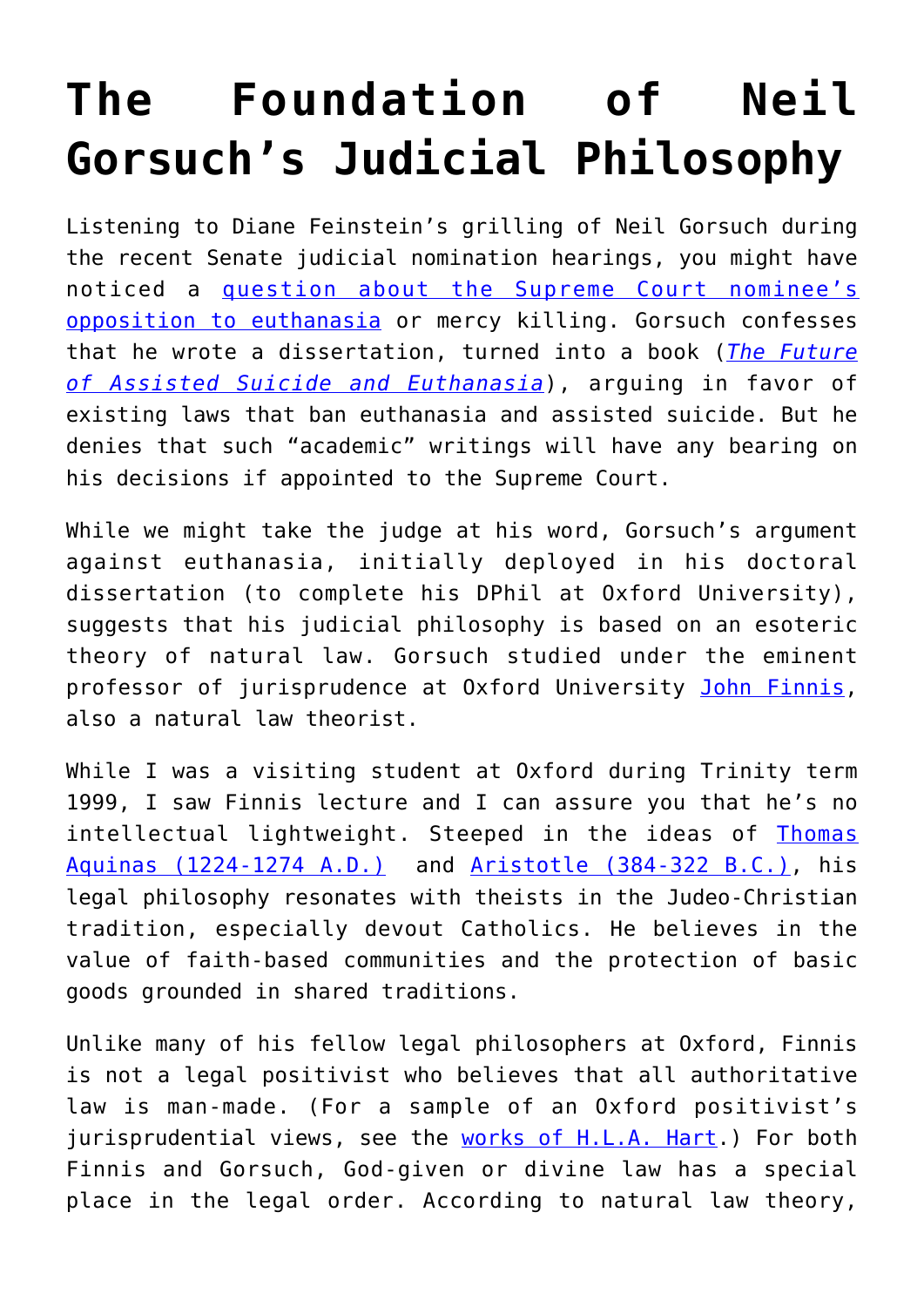## **[The Foundation of Neil](https://intellectualtakeout.org/2017/03/the-foundation-of-neil-gorsuchs-judicial-philosophy/) [Gorsuch's Judicial Philosophy](https://intellectualtakeout.org/2017/03/the-foundation-of-neil-gorsuchs-judicial-philosophy/)**

Listening to Diane Feinstein's grilling of Neil Gorsuch during the recent Senate judicial nomination hearings, you might have noticed a [question about the Supreme Court nominee's](http://www.denverpost.com/2017/03/21/neil-gorsuch-supreme-court-nominee-questions/) [opposition to euthanasia](http://www.denverpost.com/2017/03/21/neil-gorsuch-supreme-court-nominee-questions/) or mercy killing. Gorsuch confesses that he wrote a dissertation, turned into a book (*[The Future](http://press.princeton.edu/titles/8317.html) [of Assisted Suicide and Euthanasia](http://press.princeton.edu/titles/8317.html)*), arguing in favor of existing laws that ban euthanasia and assisted suicide. But he denies that such "academic" writings will have any bearing on his decisions if appointed to the Supreme Court.

While we might take the judge at his word, Gorsuch's argument against euthanasia, initially deployed in his doctoral dissertation (to complete his DPhil at Oxford University), suggests that his judicial philosophy is based on an esoteric theory of natural law. Gorsuch studied under the eminent professor of jurisprudence at Oxford University [John Finnis,](https://en.wikipedia.org/wiki/John_Finnis) also a natural law theorist.

While I was a visiting student at Oxford during Trinity term 1999, I saw Finnis lecture and I can assure you that he's no intellectual lightweight. Steeped in the ideas of [Thomas](http://www.iep.utm.edu/aquinas/) [Aquinas \(1224-1274 A.D.\)](http://www.iep.utm.edu/aquinas/) and [Aristotle \(384-322 B.C.\)](http://www.iep.utm.edu/aristotl/), his legal philosophy resonates with theists in the Judeo-Christian tradition, especially devout Catholics. He believes in the value of faith-based communities and the protection of basic goods grounded in shared traditions.

Unlike many of his fellow legal philosophers at Oxford, Finnis is not a legal positivist who believes that all authoritative law is man-made. (For a sample of an Oxford positivist's jurisprudential views, see the [works of H.L.A. Hart](https://www.academia.edu/21744317/MH_Kramer_C._Grant_B._Colburn_and_A._Hatzistavrou_eds._The_Legacy_of_HLA_Hart_Legal_Political_and_Moral_Philosophy).) For both Finnis and Gorsuch, God-given or divine law has a special place in the legal order. According to natural law theory,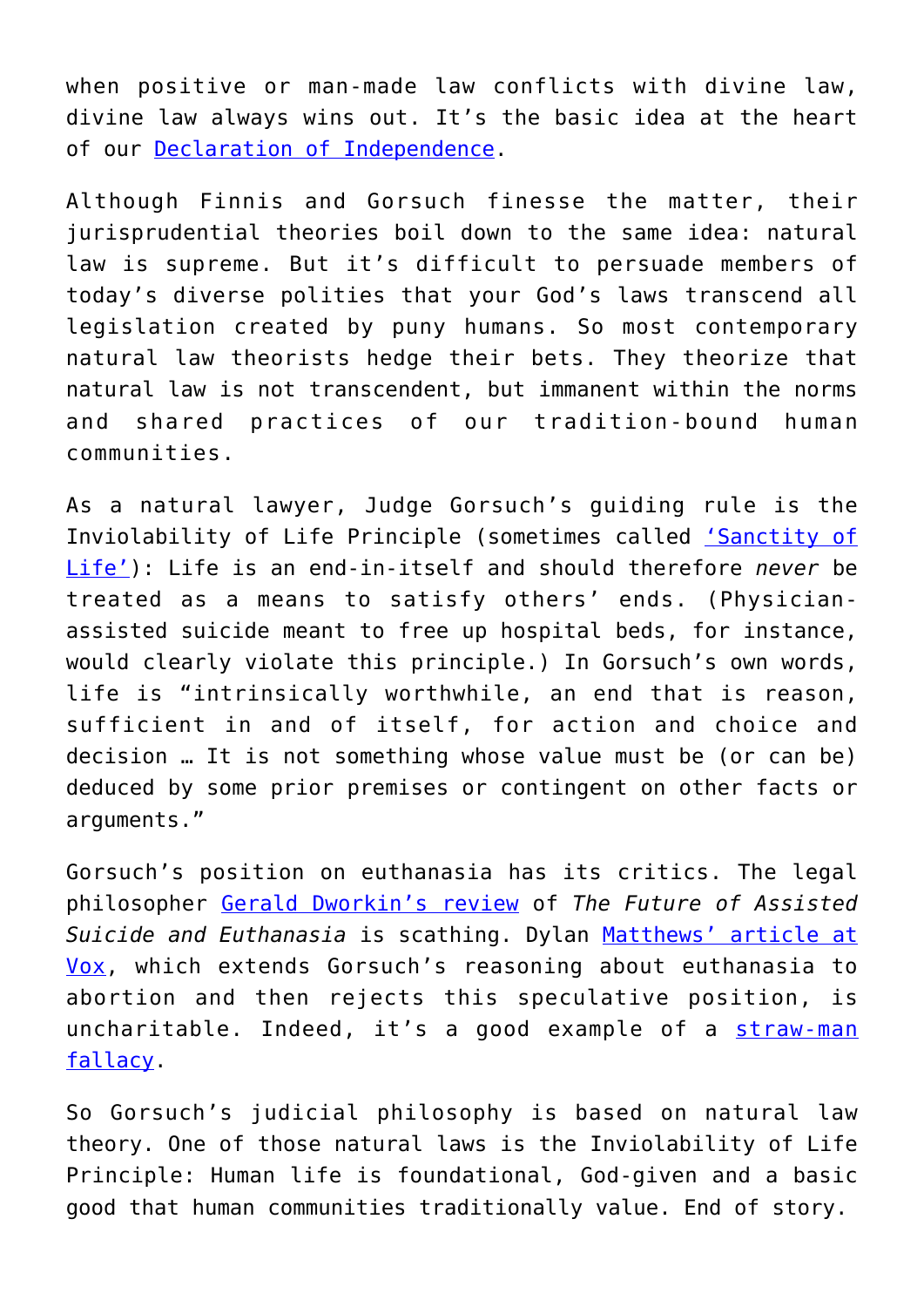when positive or man-made law conflicts with divine law, divine law always wins out. It's the basic idea at the heart of our [Declaration of Independence.](http://www.patheos.com/blogs/geneveith/2015/07/the-declaration-of-independence-and-natural-law/)

Although Finnis and Gorsuch finesse the matter, their jurisprudential theories boil down to the same idea: natural law is supreme. But it's difficult to persuade members of today's diverse polities that your God's laws transcend all legislation created by puny humans. So most contemporary natural law theorists hedge their bets. They theorize that natural law is not transcendent, but immanent within the norms and shared practices of our tradition-bound human communities.

As a natural lawyer, Judge Gorsuch's guiding rule is the Inviolability of Life Principle (sometimes called ['Sanctity of](https://en.wikipedia.org/wiki/Sanctity_of_life) [Life'\)](https://en.wikipedia.org/wiki/Sanctity_of_life): Life is an end-in-itself and should therefore *never* be treated as a means to satisfy others' ends. (Physicianassisted suicide meant to free up hospital beds, for instance, would clearly violate this principle.) In Gorsuch's own words, life is "intrinsically worthwhile, an end that is reason, sufficient in and of itself, for action and choice and decision … It is not something whose value must be (or can be) deduced by some prior premises or contingent on other facts or arguments."

Gorsuch's position on euthanasia has its critics. The legal philosopher [Gerald Dworkin's review](http://newramblerreview.com/component/content/article?id=181:no-exit) of *The Future of Assisted Suicide and Euthanasia* is scathing. Dylan [Matthews' article at](http://www.vox.com/policy-and-politics/2017/2/4/14491852/neil-gorsuch-book-euthanasia-abortion) [Vox](http://www.vox.com/policy-and-politics/2017/2/4/14491852/neil-gorsuch-book-euthanasia-abortion), which extends Gorsuch's reasoning about euthanasia to abortion and then rejects this speculative position, is uncharitable. Indeed, it's a good example of a [straw-man](https://en.wikipedia.org/wiki/Straw_man) [fallacy](https://en.wikipedia.org/wiki/Straw_man).

So Gorsuch's judicial philosophy is based on natural law theory. One of those natural laws is the Inviolability of Life Principle: Human life is foundational, God-given and a basic good that human communities traditionally value. End of story.